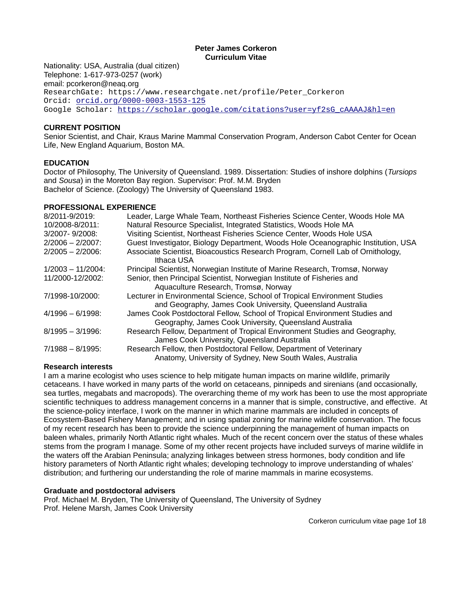# **Peter James Corkeron Curriculum Vitae**

Nationality: USA, Australia (dual citizen) Telephone: 1-617-973-0257 (work) email: pcorkeron@neaq.org ResearchGate: https://www.researchgate.net/profile/Peter\_Corkeron Orcid: [orcid.org/0000-0003-1553-125](http://orcid.org/0000-0003-1553-125) Google Scholar: [https://scholar.google.com/citations?user=yf2sG\\_cAAAAJ&hl=en](https://scholar.google.com/citations?user=yf2sG_cAAAAJ&hl=en)

# **CURRENT POSITION**

Senior Scientist, and Chair, Kraus Marine Mammal Conservation Program, Anderson Cabot Center for Ocean Life, New England Aquarium, Boston MA.

# **EDUCATION**

Doctor of Philosophy, The University of Queensland. 1989. Dissertation: Studies of inshore dolphins (*Tursiops* and *Sousa*) in the Moreton Bay region. Supervisor: Prof. M.M. Bryden Bachelor of Science. (Zoology) The University of Queensland 1983.

### **PROFESSIONAL EXPERIENCE**

| 8/2011-9/2019:       | Leader, Large Whale Team, Northeast Fisheries Science Center, Woods Hole MA                                                             |
|----------------------|-----------------------------------------------------------------------------------------------------------------------------------------|
| 10/2008-8/2011:      | Natural Resource Specialist, Integrated Statistics, Woods Hole MA                                                                       |
| 3/2007-9/2008:       | Visiting Scientist, Northeast Fisheries Science Center, Woods Hole USA                                                                  |
| $2/2006 - 2/2007$    | Guest Investigator, Biology Department, Woods Hole Oceanographic Institution, USA                                                       |
| $2/2005 - 2/2006$ :  | Associate Scientist, Bioacoustics Research Program, Cornell Lab of Ornithology,<br>Ithaca USA                                           |
| $1/2003 - 11/2004$ : | Principal Scientist, Norwegian Institute of Marine Research, Tromsø, Norway                                                             |
| 11/2000-12/2002:     | Senior, then Principal Scientist, Norwegian Institute of Fisheries and                                                                  |
|                      | Aquaculture Research, Tromsø, Norway                                                                                                    |
| 7/1998-10/2000:      | Lecturer in Environmental Science, School of Tropical Environment Studies<br>and Geography, James Cook University, Queensland Australia |
| $4/1996 - 6/1998$    | James Cook Postdoctoral Fellow, School of Tropical Environment Studies and                                                              |
|                      | Geography, James Cook University, Queensland Australia                                                                                  |
| $8/1995 - 3/1996$ :  | Research Fellow, Department of Tropical Environment Studies and Geography,                                                              |
|                      | James Cook University, Queensland Australia                                                                                             |
| $7/1988 - 8/1995$    | Research Fellow, then Postdoctoral Fellow, Department of Veterinary                                                                     |
|                      | Anatomy, University of Sydney, New South Wales, Australia                                                                               |

### **Research interests**

I am a marine ecologist who uses science to help mitigate human impacts on marine wildlife, primarily cetaceans. I have worked in many parts of the world on cetaceans, pinnipeds and sirenians (and occasionally, sea turtles, megabats and macropods). The overarching theme of my work has been to use the most appropriate scientific techniques to address management concerns in a manner that is simple, constructive, and effective. At the science-policy interface, I work on the manner in which marine mammals are included in concepts of Ecosystem-Based Fishery Management; and in using spatial zoning for marine wildlife conservation. The focus of my recent research has been to provide the science underpinning the management of human impacts on baleen whales, primarily North Atlantic right whales. Much of the recent concern over the status of these whales stems from the program I manage. Some of my other recent projects have included surveys of marine wildlife in the waters off the Arabian Peninsula; analyzing linkages between stress hormones, body condition and life history parameters of North Atlantic right whales; developing technology to improve understanding of whales' distribution; and furthering our understanding the role of marine mammals in marine ecosystems.

### **Graduate and postdoctoral advisers**

Prof. Michael M. Bryden, The University of Queensland, The University of Sydney Prof. Helene Marsh, James Cook University

Corkeron curriculum vitae page 1of 18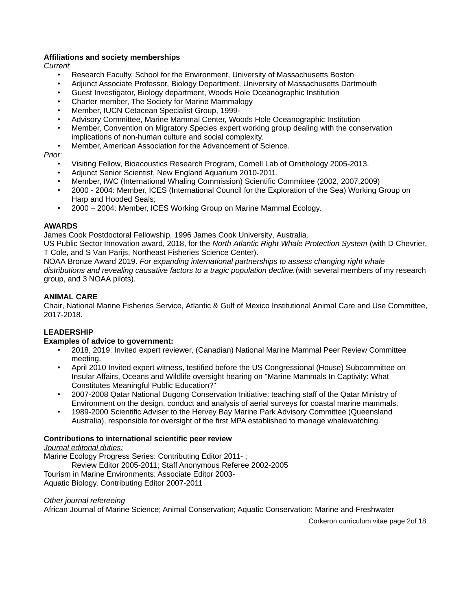# **Affiliations and society memberships**

*Current*

- Research Faculty, School for the Environment, University of Massachusetts Boston
- Adjunct Associate Professor, Biology Department, University of Massachusetts Dartmouth
- Guest Investigator, Biology department, Woods Hole Oceanographic Institution
- Charter member, The Society for Marine Mammalogy
- Member, IUCN Cetacean Specialist Group, 1999-
- Advisory Committee, Marine Mammal Center, Woods Hole Oceanographic Institution
- Member, Convention on Migratory Species expert working group dealing with the conservation implications of non-human culture and social complexity.
- Member, American Association for the Advancement of Science.

### *Prior*:

- Visiting Fellow, Bioacoustics Research Program, Cornell Lab of Ornithology 2005-2013.
- Adjunct Senior Scientist, New England Aquarium 2010-2011.
- Member, IWC (International Whaling Commission) Scientific Committee (2002, 2007,2009)
- 2000 2004: Member, ICES (International Council for the Exploration of the Sea) Working Group on Harp and Hooded Seals;
- 2000 2004: Member, ICES Working Group on Marine Mammal Ecology.

# **AWARDS**

James Cook Postdoctoral Fellowship, 1996 James Cook University, Australia.

US Public Sector Innovation award, 2018, for the *North Atlantic Right Whale Protection System* (with D Chevrier, T Cole, and S Van Parijs, Northeast Fisheries Science Center).

NOAA Bronze Award 2019. *For expanding international partnerships to assess changing right whale distributions and revealing causative factors to a tragic population decline.*(with several members of my research group, and 3 NOAA pilots).

# **ANIMAL CARE**

Chair, National Marine Fisheries Service, Atlantic & Gulf of Mexico Institutional Animal Care and Use Committee, 2017-2018.

# **LEADERSHIP**

### **Examples of advice to government:**

- 2018, 2019: Invited expert reviewer, (Canadian) National Marine Mammal Peer Review Committee meeting.
- April 2010 Invited expert witness, testified before the US Congressional (House) Subcommittee on Insular Affairs, Oceans and Wildlife oversight hearing on "Marine Mammals In Captivity: What Constitutes Meaningful Public Education?"
- 2007-2008 Qatar National Dugong Conservation Initiative: teaching staff of the Qatar Ministry of Environment on the design, conduct and analysis of aerial surveys for coastal marine mammals.
- 1989-2000 Scientific Adviser to the Hervey Bay Marine Park Advisory Committee (Queensland Australia), responsible for oversight of the first MPA established to manage whalewatching.

### **Contributions to international scientific peer review**

*Journal editorial duties:*

Marine Ecology Progress Series: Contributing Editor 2011-; Review Editor 2005-2011; Staff Anonymous Referee 2002-2005 Tourism in Marine Environments: Associate Editor 2003- Aquatic Biology. Contributing Editor 2007-2011

### *Other journal refereeing*

African Journal of Marine Science; Animal Conservation; Aquatic Conservation: Marine and Freshwater

Corkeron curriculum vitae page 2of 18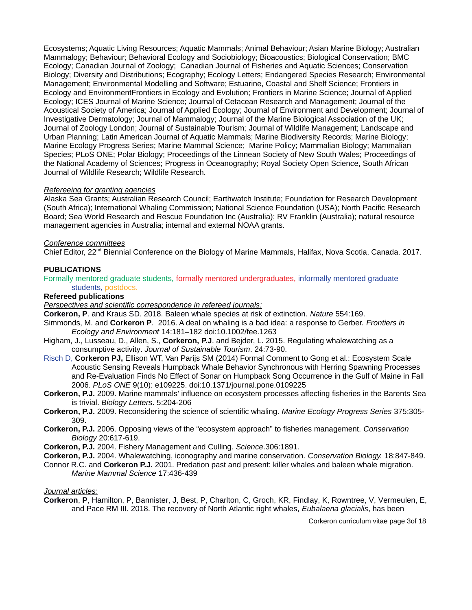Ecosystems; Aquatic Living Resources; Aquatic Mammals; Animal Behaviour; Asian Marine Biology; Australian Mammalogy; Behaviour; Behavioral Ecology and Sociobiology; Bioacoustics; Biological Conservation; BMC Ecology; Canadian Journal of Zoology; Canadian Journal of Fisheries and Aquatic Sciences; Conservation Biology; Diversity and Distributions; Ecography; Ecology Letters; Endangered Species Research; Environmental Management; Environmental Modelling and Software; Estuarine, Coastal and Shelf Science; Frontiers in Ecology and EnvironmentFrontiers in Ecology and Evolution; Frontiers in Marine Science; Journal of Applied Ecology; ICES Journal of Marine Science; Journal of Cetacean Research and Management; Journal of the Acoustical Society of America; Journal of Applied Ecology; Journal of Environment and Development; Journal of Investigative Dermatology; Journal of Mammalogy; Journal of the Marine Biological Association of the UK; Journal of Zoology London; Journal of Sustainable Tourism; Journal of Wildlife Management; Landscape and Urban Planning; Latin American Journal of Aquatic Mammals; Marine Biodiversity Records; Marine Biology; Marine Ecology Progress Series; Marine Mammal Science; Marine Policy; Mammalian Biology; Mammalian Species; PLoS ONE; Polar Biology; Proceedings of the Linnean Society of New South Wales; Proceedings of the National Academy of Sciences; Progress in Oceanography; Royal Society Open Science, South African Journal of Wildlife Research; Wildlife Research.

#### *Refereeing for granting agencies*

Alaska Sea Grants; Australian Research Council; Earthwatch Institute; Foundation for Research Development (South Africa); International Whaling Commission; National Science Foundation (USA); North Pacific Research Board; Sea World Research and Rescue Foundation Inc (Australia); RV Franklin (Australia); natural resource management agencies in Australia; internal and external NOAA grants.

#### *Conference committees*

Chief Editor, 22<sup>nd</sup> Biennial Conference on the Biology of Marine Mammals, Halifax, Nova Scotia, Canada. 2017.

#### **PUBLICATIONS**

Formally mentored graduate students, formally mentored undergraduates, informally mentored graduate students, postdocs.

### **Refereed publications**

*Perspectives and scientific correspondence in refereed journals:*

**Corkeron, P**. and Kraus SD. 2018. Baleen whale species at risk of extinction. *Nature* 554:169.

- Simmonds, M. and **Corkeron P**. 2016. A deal on whaling is a bad idea: a response to Gerber. *Frontiers in Ecology and Environment* 14:181–182 doi:10.1002/fee.1263
- Higham, J., Lusseau, D., Allen, S., **Corkeron, P.J**. and Bejder, L. 2015. Regulating whalewatching as a consumptive activity. *Journal of Sustainable Tourism*. 24:73-90.
- Risch D, **Corkeron PJ,** Ellison WT, Van Parijs SM (2014) Formal Comment to Gong et al.: Ecosystem Scale Acoustic Sensing Reveals Humpback Whale Behavior Synchronous with Herring Spawning Processes and Re-Evaluation Finds No Effect of Sonar on Humpback Song Occurrence in the Gulf of Maine in Fall 2006. *PLoS ONE* 9(10): e109225. doi:10.1371/journal.pone.0109225
- **Corkeron, P.J.** 2009. Marine mammals' influence on ecosystem processes affecting fisheries in the Barents Sea is trivial. *Biology Letters*. 5:204-206
- **Corkeron, P.J.** 2009. Reconsidering the science of scientific whaling. *Marine Ecology Progress Series* 375:305- 309.
- **Corkeron, P.J.** 2006. Opposing views of the "ecosystem approach" to fisheries management. *Conservation Biology* 20:617-619.
- **Corkeron, P.J.** 2004. Fishery Management and Culling. *Science*.306:1891.
- **Corkeron, P.J.** 2004. Whalewatching, iconography and marine conservation. *Conservation Biology.* 18:847-849.
- Connor R.C. and **Corkeron P.J.** 2001. Predation past and present: killer whales and baleen whale migration. *Marine Mammal Science* 17:436-439

*Journal articles:*

**Corkeron**, **P**, Hamilton, P, Bannister, J, Best, P, Charlton, C, Groch, KR, Findlay, K, Rowntree, V, Vermeulen, E, and Pace RM III. 2018. The recovery of North Atlantic right whales, *Eubalaena glacialis*, has been

Corkeron curriculum vitae page 3of 18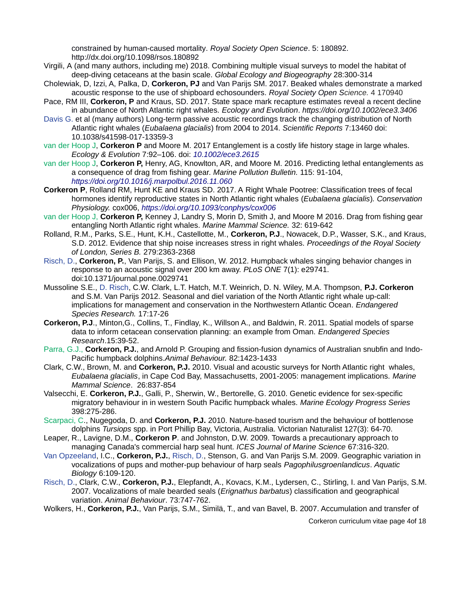constrained by human-caused mortality. *Royal Society Open Science*. 5: 180892. http://dx.doi.org/10.1098/rsos.180892

- Virgili, A (and many authors, including me) 2018. Combining multiple visual surveys to model the habitat of deep-diving cetaceans at the basin scale. *Global Ecology and Biogeography* 28:300-314
- Cholewiak, D, Izzi, A, Palka, D, **Corkeron, PJ** and Van Parijs SM. 2017. Beaked whales demonstrate a marked acoustic response to the use of shipboard echosounders. *Royal Society Open Science.* 4 170940
- Pace, RM III, **Corkeron, P** and Kraus, SD. 2017. State space mark recapture estimates reveal a recent decline in abundance of North Atlantic right whales. *Ecology and Evolution*. *<https://doi.org/10.1002/ece3.3406>*
- Davis G. et al (many authors) Long-term passive acoustic recordings track the changing distribution of North Atlantic right whales (*Eubalaena glacialis*) from 2004 to 2014. *Scientific Reports* 7:13460 doi: 10.1038/s41598-017-13359-3
- van der Hoop J, **Corkeron P** and Moore M. 2017 Entanglement is a costly life history stage in large whales. *Ecology & Evolution* 7:92–106. doi: *[10.1002/ece3.2615](http://dx.doi.org/10.1002/ece3.2615)*
- van der Hoop J, **Corkeron P,** Henry, AG, Knowlton, AR, and Moore M. 2016. Predicting lethal entanglements as a consequence of drag from fishing gear. *Marine Pollution Bulletin.* 115: 91-104, *<https://doi.org/10.1016/j.marpolbul.2016.11.060>*
- **Corkeron P**, Rolland RM, Hunt KE and Kraus SD. 2017. A Right Whale Pootree: Classification trees of fecal hormones identify reproductive states in North Atlantic right whales (*Eubalaena glacialis*)*. Conservation Physiology.* cox006, *<https://doi.org/10.1093/conphys/cox006>*
- van der Hoop J, **Corkeron P,** Kenney J, Landry S, Morin D, Smith J, and Moore M 2016. Drag from fishing gear entangling North Atlantic right whales. *Marine Mammal Science.* 32: 619-642
- Rolland, R.M., Parks, S.E., Hunt, K.H., Castellotte, M., **Corkeron, P.J**., Nowacek, D.P., Wasser, S.K., and Kraus, S.D. 2012. Evidence that ship noise increases stress in right whales. *Proceedings of the Royal Society of London, Series B.* 279:2363-2368
- Risch, D., **Corkeron, P.**, Van Parijs, S. and Ellison, W. 2012. Humpback whales singing behavior changes in response to an acoustic signal over 200 km away. *PLoS ONE* 7(1): e29741. doi:10.1371/journal.pone.0029741
- Mussoline S.E., D. Risch, C.W. Clark, L.T. Hatch, M.T. Weinrich, D. N. Wiley, M.A. Thompson, **P.J. Corkeron** and S.M. Van Parijs 2012. Seasonal and diel variation of the North Atlantic right whale up-call: implications for management and conservation in the Northwestern Atlantic Ocean. *Endangered Species Research.* 17:17-26
- **Corkeron, P.J**., Minton,G., Collins, T., Findlay, K., Willson A., and Baldwin, R. 2011. Spatial models of sparse data to inform cetacean conservation planning: an example from Oman. *Endangered Species Research*.15:39-52.
- Parra, G.J., **Corkeron, P.J.**, and Arnold P. Grouping and fission-fusion dynamics of Australian snubfin and Indo-Pacific humpback dolphins.*Animal Behaviour.* 82:1423-1433
- Clark, C.W., Brown, M. and **Corkeron, P.J.** 2010. Visual and acoustic surveys for North Atlantic right whales, *Eubalaena glacialis*, in Cape Cod Bay, Massachusetts, 2001-2005: management implications. *Marine Mammal Science*. 26:837-854
- Valsecchi, E. **Corkeron, P.J.**, Galli, P., Sherwin, W., Bertorelle, G. 2010. Genetic evidence for sex-specific migratory behaviour in in western South Pacific humpback whales. *Marine Ecology Progress Series* 398:275-286.
- Scarpaci, C., Nugegoda, D. and **Corkeron, P.J.** 2010. Nature-based tourism and the behaviour of bottlenose dolphins *Tursiops* spp. in Port Phillip Bay, Victoria, Australia. Victorian Naturalist 127(3): 64-70.
- Leaper, R., Lavigne, D.M., **Corkeron P**. and Johnston, D.W. 2009. Towards a precautionary approach to managing Canada's commercial harp seal hunt. *ICES Journal of Marine Science* 67:316-320.
- Van Opzeeland, I.C., **Corkeron, P.J.**, Risch, D., Stenson, G. and Van Parijs S.M. 2009. Geographic variation in vocalizations of pups and mother-pup behaviour of harp seals *Pagophilusgroenlandicus*. *Aquatic Biology* 6:109-120.
- Risch, D., Clark, C.W., **Corkeron, P.J.**, Elepfandt, A., Kovacs, K.M., Lydersen, C., Stirling, I. and Van Parijs, S.M. 2007. Vocalizations of male bearded seals (*Erignathus barbatus*) classification and geographical variation. *Animal Behaviour*. 73:747-762.
- Wolkers, H., **Corkeron, P.J.**, Van Parijs, S.M., Similä, T., and van Bavel, B. 2007. Accumulation and transfer of

Corkeron curriculum vitae page 4of 18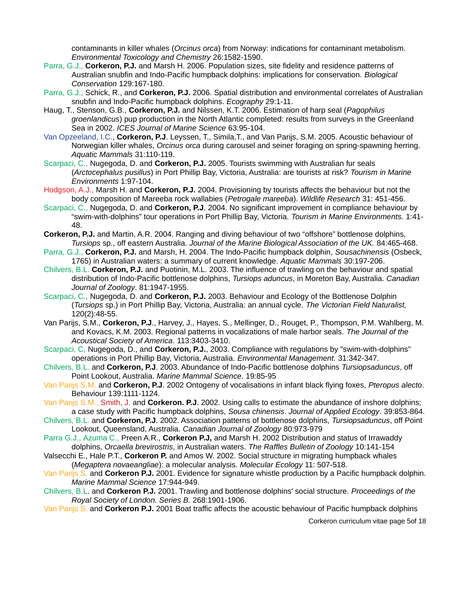contaminants in killer whales (*Orcinus orca*) from Norway: indications for contaminant metabolism. *Environmental Toxicology and Chemistry* 26:1582-1590.

- Parra, G.J., **Corkeron, P.J.** and Marsh H. 2006. Population sizes, site fidelity and residence patterns of Australian snubfin and Indo-Pacific humpback dolphins: implications for conservation. *Biological Conservation* 129:167-180.
- Parra, G.J., Schick, R., and **Corkeron, P.J.** 2006. Spatial distribution and environmental correlates of Australian snubfin and Indo-Pacific humpback dolphins. *Ecography* 29:1-11.
- Haug, T., Stenson, G.B., **Corkeron, P.J.** and Nilssen, K.T. 2006. Estimation of harp seal (*Pagophilus groenlandicus*) pup production in the North Atlantic completed: results from surveys in the Greenland Sea in 2002. *ICES Journal of Marine Science* 63:95-104.
- Van Opzeeland, I.C., **Corkeron, P.J**. Leyssen, T., Simila,T., and Van Parijs, S.M. 2005. Acoustic behaviour of Norwegian killer whales, *Orcinus orca* during carousel and seiner foraging on spring-spawning herring. *Aquatic Mammals* 31:110-119.
- Scarpaci, C., Nugegoda, D. and **Corkeron, P.J.** 2005. Tourists swimming with Australian fur seals (*Arctocephalus pusillus*) in Port Phillip Bay, Victoria, Australia: are tourists at risk? *Tourism in Marine Environments* 1:97-104.
- Hodgson, A.J., Marsh H. and **Corkeron, P.J.** 2004. Provisioning by tourists affects the behaviour but not the body composition of Mareeba rock wallabies (*Petrogale mareeba*). *Wildlife Research* 31: 451-456.
- Scarpaci, C., Nugegoda, D. and **Corkeron, P.J**. 2004. No significant improvement in compliance behaviour by "swim-with-dolphins" tour operations in Port Phillip Bay, Victoria. *Tourism in Marine Environments.* 1:41- 48.
- **Corkeron, P.J.** and Martin, A.R. 2004. Ranging and diving behaviour of two "offshore" bottlenose dolphins, *Tursiops* sp., off eastern Australia. *Journal of the Marine Biological Association of the UK.* 84:465-468.
- Parra, G.J., **Corkeron, P.J.** and Marsh, H. 2004. The Indo-Pacific humpback dolphin, *Sousachinensis* (Osbeck, 1765) in Australian waters: a summary of current knowledge. *Aquatic Mammals* 30:197-206.
- Chilvers, B.L. **Corkeron, P.J.** and Puotinin, M.L. 2003. The influence of trawling on the behaviour and spatial distribution of Indo-Pacific bottlenose dolphins, *Tursiops aduncus*, in Moreton Bay, Australia. *Canadian Journal of Zoology*. 81:1947-1955.
- Scarpaci, C., Nugegoda, D. and **Corkeron, P.J.** 2003. Behaviour and Ecology of the Bottlenose Dolphin (*Tursiops* sp.) in Port Phillip Bay, Victoria, Australia: an annual cycle. *The Victorian Field Naturalist,*  120(2):48-55.
- Van Parijs, S.M., **Corkeron, P.J**., Harvey, J., Hayes, S., Mellinger, D., Rouget, P., Thompson, P.M. Wahlberg, M. and Kovacs, K.M. 2003. Regional patterns in vocalizations of male harbor seals. *The Journal of the Acoustical Society of America*. 113:3403-3410.
- Scarpaci, C, Nugegoda, D., and **Corkeron, P.J.**, 2003. Compliance with regulations by "swim-with-dolphins" operations in Port Phillip Bay, Victoria, Australia. *Environmental Management.* 31:342-347.
- Chilvers, B.L. and **Corkeron, P.J**. 2003. Abundance of Indo-Pacific bottlenose dolphins *Tursiopsaduncus*, off Point Lookout, Australia. *Marine Mammal Science*. 19:85-95
- Van Parijs S.M. and **Corkeron, P.J**. 2002 Ontogeny of vocalisations in infant black flying foxes, *Pteropus alecto*. Behaviour 139:1111-1124.
- Van Parijs S.M., Smith, J. and **Corkeron. P.J**. 2002. Using calls to estimate the abundance of inshore dolphins; a case study with Pacific humpback dolphins, *Sousa chinensis*. *Journal of Applied Ecology*. 39:853-864.
- Chilvers, B.L. and **Corkeron, P.J**. 2002. Association patterns of bottlenose dolphins, *Tursiopsaduncus*, off Point Lookout, Queensland, Australia. *Canadian Journal of Zoology* 80:973-979
- Parra G.J., Azuma C., Preen A.R., **Corkeron P.J,** and Marsh H. 2002 Distribution and status of Irrawaddy dolphins, *Orcaella brevirostris*, in Australian waters. *The Raffles Bulletin of Zoology* 10:141-154
- Valsecchi E., Hale P.T., **Corkeron P.** and Amos W. 2002. Social structure in migrating humpback whales (*Megaptera novaeangliae*): a molecular analysis. *Molecular Ecology* 11: 507-518.
- Van Parijs S. and **Corkeron P.J.** 2001. Evidence for signature whistle production by a Pacific humpback dolphin. *Marine Mammal Science* 17:944-949.
- Chilvers, B.L. and **Corkeron P.J.** 2001. Trawling and bottlenose dolphins' social structure. *Proceedings of the Royal Society of London. Series B.* 268:1901-1906.
- Van Parijs S. and **Corkeron P.J.** 2001 Boat traffic affects the acoustic behaviour of Pacific humpback dolphins

Corkeron curriculum vitae page 5of 18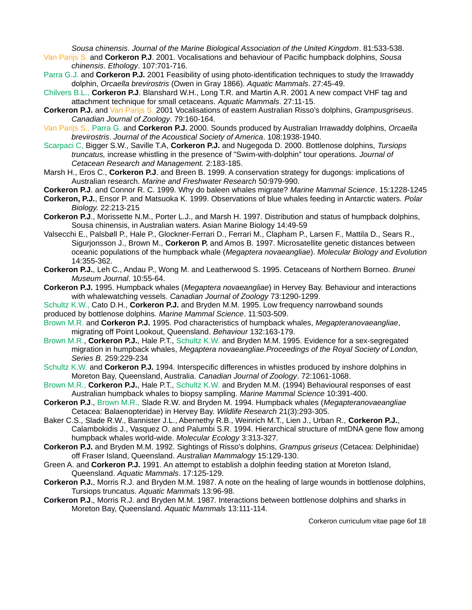*Sousa chinensis*. *Journal of the Marine Biological Association of the United Kingdom*. 81:533-538.

- Van Parijs S. and **Corkeron P.J**. 2001. Vocalisations and behaviour of Pacific humpback dolphins, *Sousa chinensis*. *Ethology*. 107:701-716.
- Parra G.J. and **Corkeron P.J.** 2001 Feasibility of using photo-identification techniques to study the Irrawaddy dolphin, *Orcaella brevirostris* (Owen in Gray 1866). *Aquatic Mammals*. 27:45-49.
- Chilvers B.L., **Corkeron P.J**. Blanshard W.H., Long T.R. and Martin A.R. 2001 A new compact VHF tag and attachment technique for small cetaceans. *Aquatic Mammals*. 27:11-15.
- **Corkeron P.J.** and Van Parijs S. 2001 Vocalisations of eastern Australian Risso's dolphins, *Grampusgriseus*. *Canadian Journal of Zoology*. 79:160-164.
- Van Parijs S., Parra G. and **Corkeron P.J.** 2000. Sounds produced by Australian Irrawaddy dolphins, *Orcaella brevirostris*. *Journal of the Acoustical Society of America*. 108:1938-1940.
- Scarpaci C, Bigger S.W., Saville T.A, **Corkeron P.J.** and Nugegoda D. 2000. Bottlenose dolphins, *Tursiops truncatus,* increase whistling in the presence of "Swim-with-dolphin" tour operations. *Journal of Cetacean Research and Management.* 2:183-185.
- Marsh H., Eros C., **Corkeron P.J**. and Breen B. 1999. A conservation strategy for dugongs: implications of Australian research. *Marine and Freshwater Research* 50:979-990.
- **Corkeron P.J**. and Connor R. C. 1999. Why do baleen whales migrate? *Marine Mammal Science*. 15:1228-1245
- **Corkeron, P.J.**, Ensor P. and Matsuoka K. 1999. Observations of blue whales feeding in Antarctic waters. *Polar Biology.* 22:213-215
- **Corkeron P.J**., Morissette N.M., Porter L.J., and Marsh H. 1997. Distribution and status of humpback dolphins, Sousa chinensis, in Australian waters. Asian Marine Biology 14:49-59
- Valsecchi E., Palsbøll P., Hale P., Glockner-Ferrari D., Ferrari M., Clapham P., Larsen F., Mattila D., Sears R., Sigurjonsson J., Brown M., **Corkeron P.** and Amos B. 1997. Microsatellite genetic distances between oceanic populations of the humpback whale (*Megaptera novaeangliae*). *Molecular Biology and Evolution* 14:355-362.
- **Corkeron P.J.**, Leh C., Andau P., Wong M. and Leatherwood S. 1995. Cetaceans of Northern Borneo. *Brunei Museum Journal*. 10:55-64.
- **Corkeron P.J.** 1995. Humpback whales (*Megaptera novaeangliae*) in Hervey Bay. Behaviour and interactions with whalewatching vessels. *Canadian Journal of Zoology* 73:1290-1299.
- Schultz K.W., Cato D.H., **Corkeron P.J.** and Bryden M.M. 1995. Low frequency narrowband sounds produced by bottlenose dolphins. *Marine Mammal Science*. 11:503-509.
- Brown M.R. and **Corkeron P.J.** 1995. Pod characteristics of humpback whales, *Megapteranovaeangliae*, migrating off Point Lookout, Queensland. *Behaviour* 132:163-179.
- Brown M.R., **Corkeron P.J.**, Hale P.T., Schultz K.W. and Bryden M.M. 1995. Evidence for a sex-segregated migration in humpback whales, *Megaptera novaeangliae.Proceedings of the Royal Society of London, Series B.* 259:229-234
- Schultz K.W. and **Corkeron P.J.** 1994. Interspecific differences in whistles produced by inshore dolphins in Moreton Bay, Queensland, Australia. *Canadian Journal of Zoology*. 72:1061-1068.
- Brown M.R., Corkeron P.J., Hale P.T., Schultz K.W. and Bryden M.M. (1994) Behavioural responses of east Australian humpback whales to biopsy sampling. *Marine Mammal Science* 10:391-400.
- **Corkeron P.J**., Brown M.R., Slade R.W. and Bryden M. 1994. Humpback whales (*Megapteranovaeangliae*  Cetacea: Balaenopteridae) in Hervey Bay. *Wildlife Research* 21(3):293-305.
- Baker C.S., Slade R.W., Bannister J.L., Abernethy R.B., Weinrich M.T., Lien J., Urban R., **Corkeron P.J.**, Calambokidis J., Vasquez O. and Palumbi S.R. 1994. Hierarchical structure of mtDNA gene flow among humpback whales world-wide. *Molecular Ecology* 3:313-327.
- **Corkeron P.J.** and Bryden M.M. 1992. Sightings of Risso's dolphins, *Grampus griseus* (Cetacea: Delphinidae) off Fraser Island, Queensland. *Australian Mammalogy* 15:129-130.
- Green A. and **Corkeron P.J.** 1991. An attempt to establish a dolphin feeding station at Moreton Island, Queensland. *Aquatic Mammals*. 17:125-129.
- **Corkeron P.J.**, Morris R.J. and Bryden M.M. 1987. A note on the healing of large wounds in bottlenose dolphins, Tursiops truncatus. *Aquatic Mammals* 13:96-98.
- **Corkeron P.J**., Morris R.J. and Bryden M.M. 1987. Interactions between bottlenose dolphins and sharks in Moreton Bay, Queensland. *Aquatic Mammals* 13:111-114.

Corkeron curriculum vitae page 6of 18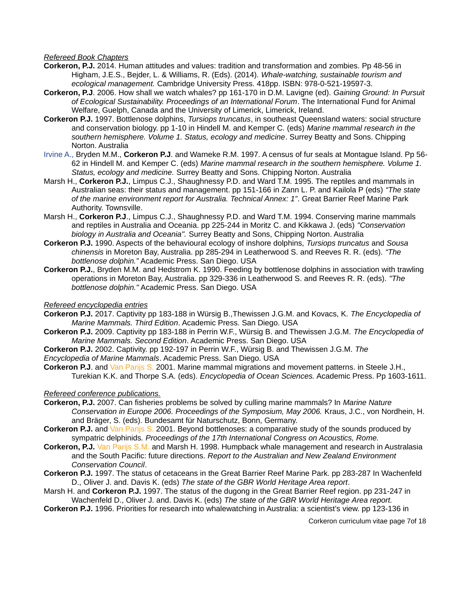*Refereed Book Chapters*

- **Corkeron, P.J.** 2014. Human attitudes and values: tradition and transformation and zombies. Pp 48-56 in Higham, J.E.S., Bejder, L. & Williams, R. (Eds). (2014). *Whale-watching, sustainable tourism and ecological management.* Cambridge University Press. 418pp. ISBN: 978-0-521-19597-3.
- **Corkeron, P.J**. 2006. How shall we watch whales? pp 161-170 in D.M. Lavigne (ed). *Gaining Ground: In Pursuit of Ecological Sustainability. Proceedings of an International Forum*. The International Fund for Animal Welfare, Guelph, Canada and the University of Limerick, Limerick, Ireland.
- **Corkeron P.J.** 1997. Bottlenose dolphins, *Tursiops truncatus*, in southeast Queensland waters: social structure and conservation biology. pp 1-10 in Hindell M. and Kemper C. (eds) *Marine mammal research in the southern hemisphere. Volume 1. Status, ecology and medicine*. Surrey Beatty and Sons. Chipping Norton. Australia
- Irvine A., Bryden M.M., **Corkeron P.J**. and Warneke R.M. 1997. A census of fur seals at Montague Island. Pp 56- 62 in Hindell M. and Kemper C. (eds) *Marine mammal research in the southern hemisphere. Volume 1. Status, ecology and medicine.* Surrey Beatty and Sons. Chipping Norton. Australia
- Marsh H., **Corkeron P.J.**, Limpus C.J., Shaughnessy P.D. and Ward T.M. 1995. The reptiles and mammals in Australian seas: their status and management. pp 151-166 in Zann L. P. and Kailola P (eds) *"The state of the marine environment report for Australia. Technical Annex: 1"*. Great Barrier Reef Marine Park Authority. Townsville.
- Marsh H., **Corkeron P.J**., Limpus C.J., Shaughnessy P.D. and Ward T.M. 1994. Conserving marine mammals and reptiles in Australia and Oceania. pp 225-244 in Moritz C. and Kikkawa J. (eds) *"Conservation biology in Australia and Oceania".* Surrey Beatty and Sons, Chipping Norton. Australia
- **Corkeron P.J.** 1990. Aspects of the behavioural ecology of inshore dolphins, *Tursiops truncatus* and *Sousa chinensis* in Moreton Bay, Australia. pp 285-294 in Leatherwood S. and Reeves R. R. (eds). *"The bottlenose dolphin."* Academic Press. San Diego. USA
- **Corkeron P.J.**, Bryden M.M. and Hedstrom K. 1990. Feeding by bottlenose dolphins in association with trawling operations in Moreton Bay, Australia. pp 329-336 in Leatherwood S. and Reeves R. R. (eds). *"The bottlenose dolphin."* Academic Press. San Diego. USA

*Refereed encyclopedia entries*

- **Corkeron P.J.** 2017. Captivity pp 183-188 in Würsig B.,Thewissen J.G.M. and Kovacs, K. *The Encyclopedia of Marine Mammals. Third Edition*. Academic Press. San Diego. USA
- **Corkeron P.J.** 2009. Captivity pp 183-188 in Perrin W.F., Würsig B. and Thewissen J.G.M. *The Encyclopedia of Marine Mammals. Second Edition*. Academic Press. San Diego. USA

**Corkeron P.J.** 2002. Captivity. pp 192-197 in Perrin W.F., Würsig B. and Thewissen J.G.M. *The*

*Encyclopedia of Marine Mammals*. Academic Press. San Diego. USA

**Corkeron P.J**. and Van Parijs S. 2001. Marine mammal migrations and movement patterns. in Steele J.H., Turekian K.K. and Thorpe S.A. (eds). *Encyclopedia of Ocean Sciences.* Academic Press. Pp 1603-1611.

# *Refereed conference publications.*

- **Corkeron, P.J.** 2007. Can fisheries problems be solved by culling marine mammals? In *Marine Nature Conservation in Europe 2006. Proceedings of the Symposium, May 2006.* Kraus, J.C., von Nordhein, H. and Bräger, S. (eds). Bundesamt für Naturschutz, Bonn, Germany.
- **Corkeron P.J.** and Van Parijs S. 2001. Beyond bottlenoses: a comparative study of the sounds produced by sympatric delphinids*. Proceedings of the 17th International Congress on Acoustics, Rome.*
- **Corkeron, P.J.** Van Parijs S.M. and Marsh H. 1998. Humpback whale management and research in Australasia and the South Pacific: future directions. *Report to the Australian and New Zealand Environment Conservation Council*.
- **Corkeron P.J.** 1997. The status of cetaceans in the Great Barrier Reef Marine Park. pp 283-287 In Wachenfeld D., Oliver J. and. Davis K. (eds) *The state of the GBR World Heritage Area report*.
- Marsh H. and **Corkeron P.J.** 1997. The status of the dugong in the Great Barrier Reef region. pp 231-247 in Wachenfeld D., Oliver J. and. Davis K. (eds) *The state of the GBR World Heritage Area report.*
- **Corkeron P.J.** 1996. Priorities for research into whalewatching in Australia: a scientist's view. pp 123-136 in

Corkeron curriculum vitae page 7of 18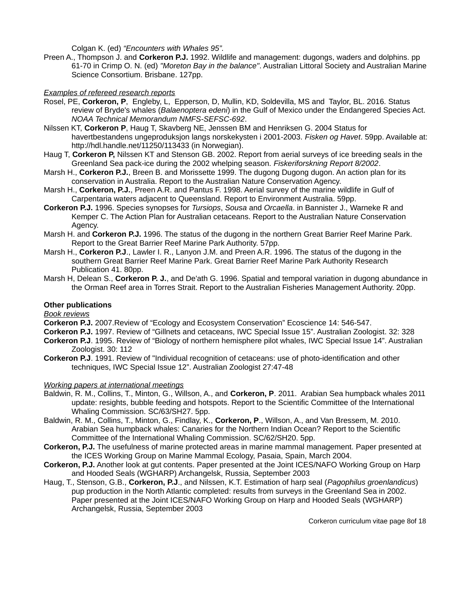Colgan K. (ed) *"Encounters with Whales 95".*

Preen A., Thompson J. and **Corkeron P.J.** 1992. Wildlife and management: dugongs, waders and dolphins. pp 61-70 in Crimp O. N. (ed) *"Moreton Bay in the balance"*. Australian Littoral Society and Australian Marine Science Consortium. Brisbane. 127pp.

### *Examples of refereed research reports*

- Rosel, PE, **Corkeron, P**, Engleby, L, Epperson, D, Mullin, KD, Soldevilla, MS and Taylor, BL. 2016. Status review of Bryde's whales (*Balaenoptera edeni*) in the Gulf of Mexico under the Endangered Species Act. *NOAA Technical Memorandum NMFS-SEFSC-692*.
- Nilssen KT, **Corkeron P**, Haug T, Skavberg NE, Jenssen BM and Henriksen G. 2004 Status for havertbestandens ungeproduksjon langs norskekysten i 2001-2003. *Fisken og Havet*. 59pp. Available at: http://hdl.handle.net/11250/113433 (in Norwegian).
- Haug T, **Corkeron P,** Nilssen KT and Stenson GB. 2002. Report from aerial surveys of ice breeding seals in the Greenland Sea pack-ice during the 2002 whelping season. *Fiskeriforskning Report 8/2002*.
- Marsh H., **Corkeron P.J.**, Breen B. and Morissette 1999. The dugong Dugong dugon. An action plan for its conservation in Australia. Report to the Australian Nature Conservation Agency.
- Marsh H., **Corkeron, P.J.**, Preen A.R. and Pantus F. 1998. Aerial survey of the marine wildlife in Gulf of Carpentaria waters adjacent to Queensland. Report to Environment Australia. 59pp.
- **Corkeron P.J.** 1996. Species synopses for *Tursiops*, *Sousa* and *Orcaella*. in Bannister J., Warneke R and Kemper C. The Action Plan for Australian cetaceans. Report to the Australian Nature Conservation Agency.
- Marsh H. and **Corkeron P.J.** 1996. The status of the dugong in the northern Great Barrier Reef Marine Park. Report to the Great Barrier Reef Marine Park Authority. 57pp.
- Marsh H., **Corkeron P.J**., Lawler I. R., Lanyon J.M. and Preen A.R. 1996. The status of the dugong in the southern Great Barrier Reef Marine Park. Great Barrier Reef Marine Park Authority Research Publication 41. 80pp.
- Marsh H, Delean S., **Corkeron P. J.**, and De'ath G. 1996. Spatial and temporal variation in dugong abundance in the Orman Reef area in Torres Strait. Report to the Australian Fisheries Management Authority. 20pp.

#### **Other publications**

*Book reviews*

**Corkeron P.J.** 2007.Review of "Ecology and Ecosystem Conservation" Ecoscience 14: 546-547.

- **Corkeron P.J.** 1997. Review of "Gillnets and cetaceans, IWC Special Issue 15". Australian Zoologist. 32: 328
- **Corkeron P.J**. 1995. Review of "Biology of northern hemisphere pilot whales, IWC Special Issue 14". Australian Zoologist. 30: 112
- **Corkeron P.J**. 1991. Review of "Individual recognition of cetaceans: use of photo-identification and other techniques, IWC Special Issue 12". Australian Zoologist 27:47-48

### *Working papers at international meetings*

- Baldwin, R. M., Collins, T., Minton, G., Willson, A., and **Corkeron, P**. 2011. Arabian Sea humpback whales 2011 update: resights, bubble feeding and hotspots. Report to the Scientific Committee of the International Whaling Commission. SC/63/SH27. 5pp.
- Baldwin, R. M., Collins, T., Minton, G., Findlay, K., **Corkeron, P**., Willson, A., and Van Bressem, M. 2010. Arabian Sea humpback whales: Canaries for the Northern Indian Ocean? Report to the Scientific Committee of the International Whaling Commission. SC/62/SH20. 5pp.
- **Corkeron, P.J.** The usefulness of marine protected areas in marine mammal management. Paper presented at the ICES Working Group on Marine Mammal Ecology, Pasaia, Spain, March 2004.
- **Corkeron, P.J.** Another look at gut contents. Paper presented at the Joint ICES/NAFO Working Group on Harp and Hooded Seals (WGHARP) Archangelsk, Russia, September 2003
- Haug, T., Stenson, G.B., **Corkeron, P.J**., and Nilssen, K.T. Estimation of harp seal (*Pagophilus groenlandicus*) pup production in the North Atlantic completed: results from surveys in the Greenland Sea in 2002. Paper presented at the Joint ICES/NAFO Working Group on Harp and Hooded Seals (WGHARP) Archangelsk, Russia, September 2003

Corkeron curriculum vitae page 8of 18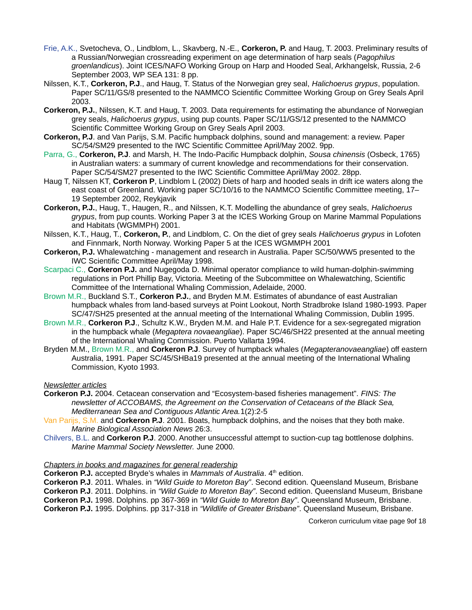- Frie, A.K., Svetocheva, O., Lindblom, L., Skavberg, N.-E., **Corkeron, P.** and Haug, T. 2003. Preliminary results of a Russian/Norwegian crossreading experiment on age determination of harp seals (*Pagophilus groenlandicus*). Joint ICES/NAFO Working Group on Harp and Hooded Seal, Arkhangelsk, Russia, 2-6 September 2003, WP SEA 131: 8 pp.
- Nilssen, K.T., **Corkeron, P.J**., and Haug, T. Status of the Norwegian grey seal, *Halichoerus grypus*, population. Paper SC/11/GS/8 presented to the NAMMCO Scientific Committee Working Group on Grey Seals April 2003.
- **Corkeron, P.J.**, Nilssen, K.T. and Haug, T. 2003. Data requirements for estimating the abundance of Norwegian grey seals, *Halichoerus grypus*, using pup counts. Paper SC/11/GS/12 presented to the NAMMCO Scientific Committee Working Group on Grey Seals April 2003.
- **Corkeron, P.J**. and Van Parijs, S.M. Pacific humpback dolphins, sound and management: a review. Paper SC/54/SM29 presented to the IWC Scientific Committee April/May 2002. 9pp.
- Parra, G., **Corkeron, P.J**. and Marsh, H. The Indo-Pacific Humpback dolphin, *Sousa chinensis* (Osbeck, 1765) in Australian waters: a summary of current knowledge and recommendations for their conservation. Paper SC/54/SM27 presented to the IWC Scientific Committee April/May 2002. 28pp.
- Haug T, Nilssen KT, **Corkeron P**, Lindblom L (2002) Diets of harp and hooded seals in drift ice waters along the east coast of Greenland. Working paper SC/10/16 to the NAMMCO Scientific Committee meeting, 17– 19 September 2002, Reykjavik
- **Corkeron, P.J.**, Haug, T., Haugen, R., and Nilssen, K.T. Modelling the abundance of grey seals, *Halichoerus grypus*, from pup counts. Working Paper 3 at the ICES Working Group on Marine Mammal Populations and Habitats (WGMMPH) 2001.
- Nilssen, K.T., Haug, T., **Corkeron, P.**, and Lindblom, C. On the diet of grey seals *Halichoerus grypus* in Lofoten and Finnmark, North Norway. Working Paper 5 at the ICES WGMMPH 2001
- **Corkeron, P.J.** Whalewatching management and research in Australia. Paper SC/50/WW5 presented to the IWC Scientific Committee April/May 1998.
- Scarpaci C., **Corkeron P.J.** and Nugegoda D. Minimal operator compliance to wild human-dolphin-swimming regulations in Port Phillip Bay, Victoria. Meeting of the Subcommittee on Whalewatching, Scientific Committee of the International Whaling Commission, Adelaide, 2000.
- Brown M.R., Buckland S.T., **Corkeron P.J.**, and Bryden M.M. Estimates of abundance of east Australian humpback whales from land-based surveys at Point Lookout, North Stradbroke Island 1980-1993. Paper SC/47/SH25 presented at the annual meeting of the International Whaling Commission, Dublin 1995.
- Brown M.R., **Corkeron P.J**., Schultz K.W., Bryden M.M. and Hale P.T. Evidence for a sex-segregated migration in the humpback whale (*Megaptera novaeangliae*). Paper SC/46/SH22 presented at the annual meeting of the International Whaling Commission. Puerto Vallarta 1994.
- Bryden M.M., Brown M.R., and **Corkeron P.J**. Survey of humpback whales (*Megapteranovaeangliae*) off eastern Australia, 1991. Paper SC/45/SHBa19 presented at the annual meeting of the International Whaling Commission, Kyoto 1993.

# *Newsletter articles*

- **Corkeron P.J.** 2004. Cetacean conservation and "Ecosystem-based fisheries management". *FINS: The newsletter of ACCOBAMS, the Agreement on the Conservation of Cetaceans of the Black Sea, Mediterranean Sea and Contiguous Atlantic Area.*1(2):2-5
- Van Parijs, S.M. and **Corkeron P.J**. 2001. Boats, humpback dolphins, and the noises that they both make. *Marine Biological Association News* 26:3.
- Chilvers, B.L. and **Corkeron P.J**. 2000. Another unsuccessful attempt to suction-cup tag bottlenose dolphins. *Marine Mammal Society Newsletter.* June 2000.

### *Chapters in books and magazines for general readership*

**Corkeron P.J.** accepted Bryde's whales in *Mammals of Australia*. 4<sup>th</sup> edition.

**Corkeron P.J**. 2011. Whales. in *"Wild Guide to Moreton Bay"*. Second edition. Queensland Museum, Brisbane **Corkeron P.J**. 2011. Dolphins. in *"Wild Guide to Moreton Bay"*. Second edition. Queensland Museum, Brisbane **Corkeron P.J.** 1998. Dolphins. pp 367-369 in *"Wild Guide to Moreton Bay"*. Queensland Museum, Brisbane. **Corkeron P.J.** 1995. Dolphins. pp 317-318 in *"Wildlife of Greater Brisbane"*. Queensland Museum, Brisbane.

Corkeron curriculum vitae page 9of 18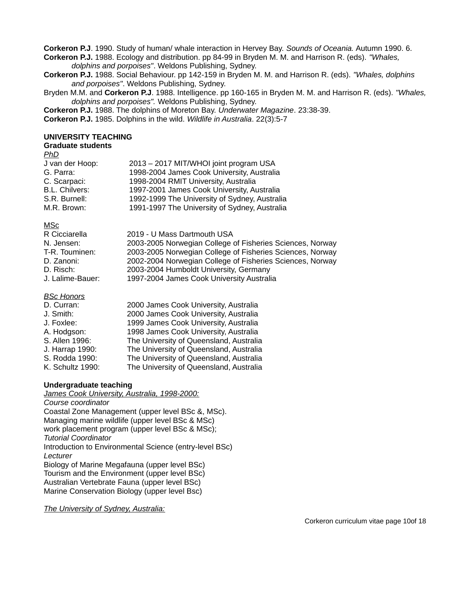**Corkeron P.J**. 1990. Study of human/ whale interaction in Hervey Bay. *Sounds of Oceania.* Autumn 1990. 6.

**Corkeron P.J.** 1988. Ecology and distribution. pp 84-99 in Bryden M. M. and Harrison R. (eds). *"Whales, dolphins and porpoises"*. Weldons Publishing, Sydney.

**Corkeron P.J.** 1988. Social Behaviour. pp 142-159 in Bryden M. M. and Harrison R. (eds). *"Whales, dolphins and porpoises"*. Weldons Publishing, Sydney.

Bryden M.M. and **Corkeron P.J**. 1988. Intelligence. pp 160-165 in Bryden M. M. and Harrison R. (eds). *"Whales, dolphins and porpoises".* Weldons Publishing, Sydney.

**Corkeron P.J.** 1988. The dolphins of Moreton Bay. *Underwater Magazine*. 23:38-39.

**Corkeron P.J.** 1985. Dolphins in the wild. *Wildlife in Australia*. 22(3):5-7

### **UNIVERSITY TEACHING**

#### **Graduate students**

| .                     |                                               |
|-----------------------|-----------------------------------------------|
| J van der Hoop:       | 2013 - 2017 MIT/WHOI joint program USA        |
| G. Parra:             | 1998-2004 James Cook University, Australia    |
| C. Scarpaci:          | 1998-2004 RMIT University, Australia          |
| <b>B.L. Chilvers:</b> | 1997-2001 James Cook University, Australia    |
| S.R. Burnell:         | 1992-1999 The University of Sydney, Australia |
| M.R. Brown:           | 1991-1997 The University of Sydney, Australia |
|                       |                                               |

MSc

| R Cicciarella    | 2019 - U Mass Dartmouth USA                               |
|------------------|-----------------------------------------------------------|
| N. Jensen:       | 2003-2005 Norwegian College of Fisheries Sciences, Norway |
| T-R. Touminen:   | 2003-2005 Norwegian College of Fisheries Sciences, Norway |
| D. Zanoni:       | 2002-2004 Norwegian College of Fisheries Sciences, Norway |
| D. Risch:        | 2003-2004 Humboldt University, Germany                    |
| J. Lalime-Bauer: | 1997-2004 James Cook University Australia                 |
|                  |                                                           |

*BSc Honors*

| D. Curran:       | 2000 James Cook University, Australia   |
|------------------|-----------------------------------------|
| J. Smith:        | 2000 James Cook University, Australia   |
| J. Foxlee:       | 1999 James Cook University, Australia   |
| A. Hodgson:      | 1998 James Cook University, Australia   |
| S. Allen 1996:   | The University of Queensland, Australia |
| J. Harrap 1990:  | The University of Queensland, Australia |
| S. Rodda 1990:   | The University of Queensland, Australia |
| K. Schultz 1990: | The University of Queensland, Australia |

### **Undergraduate teaching**

*James Cook University, Australia, 1998-2000: Course coordinator* Coastal Zone Management (upper level BSc &, MSc). Managing marine wildlife (upper level BSc & MSc) work placement program (upper level BSc & MSc); *Tutorial Coordinator* Introduction to Environmental Science (entry-level BSc) *Lecturer* Biology of Marine Megafauna (upper level BSc) Tourism and the Environment (upper level BSc) Australian Vertebrate Fauna (upper level BSc) Marine Conservation Biology (upper level Bsc)

*The University of Sydney, Australia:*

Corkeron curriculum vitae page 10of 18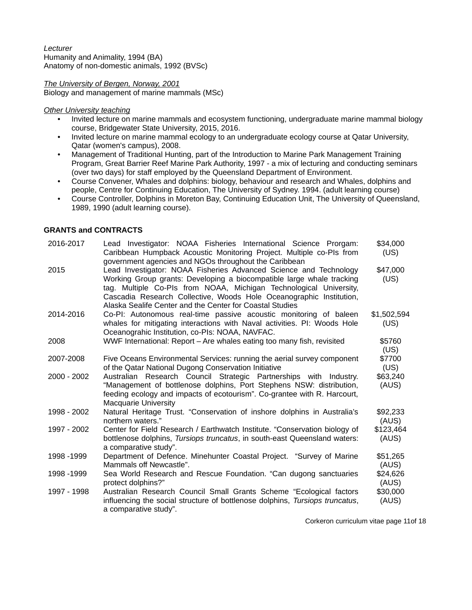*Lecturer* Humanity and Animality, 1994 (BA) Anatomy of non-domestic animals, 1992 (BVSc)

*The University of Bergen, Norway, 2001* Biology and management of marine mammals (MSc)

#### *Other University teaching*

- Invited lecture on marine mammals and ecosystem functioning, undergraduate marine mammal biology course, Bridgewater State University, 2015, 2016.
- Invited lecture on marine mammal ecology to an undergraduate ecology course at Qatar University, Qatar (women's campus), 2008.
- Management of Traditional Hunting, part of the Introduction to Marine Park Management Training Program, Great Barrier Reef Marine Park Authority, 1997 - a mix of lecturing and conducting seminars (over two days) for staff employed by the Queensland Department of Environment.
- Course Convener, Whales and dolphins: biology, behaviour and research and Whales, dolphins and people, Centre for Continuing Education, The University of Sydney. 1994. (adult learning course)
- Course Controller, Dolphins in Moreton Bay, Continuing Education Unit, The University of Queensland, 1989, 1990 (adult learning course).

### **GRANTS and CONTRACTS**

| 2016-2017   | Lead Investigator: NOAA Fisheries International Science Prorgam:                                                                                                                                                                                     | \$34,000            |
|-------------|------------------------------------------------------------------------------------------------------------------------------------------------------------------------------------------------------------------------------------------------------|---------------------|
|             | Caribbean Humpback Acoustic Monitoring Project. Multiple co-PIs from<br>government agencies and NGOs throughout the Caribbean                                                                                                                        | (US)                |
| 2015        | Lead Investigator: NOAA Fisheries Advanced Science and Technology                                                                                                                                                                                    | \$47,000            |
|             | Working Group grants: Developing a biocompatible large whale tracking<br>tag. Multiple Co-PIs from NOAA, Michigan Technological University,                                                                                                          | (US)                |
|             | Cascadia Research Collective, Woods Hole Oceanographic Institution,<br>Alaska Sealife Center and the Center for Coastal Studies                                                                                                                      |                     |
| 2014-2016   | Co-PI: Autonomous real-time passive acoustic monitoring of baleen<br>whales for mitigating interactions with Naval activities. PI: Woods Hole<br>Oceanograhic Institution, co-PIs: NOAA, NAVFAC.                                                     | \$1,502,594<br>(US) |
| 2008        | WWF International: Report - Are whales eating too many fish, revisited                                                                                                                                                                               | \$5760<br>(US)      |
| 2007-2008   | Five Oceans Environmental Services: running the aerial survey component<br>of the Qatar National Dugong Conservation Initiative                                                                                                                      | \$7700<br>(US)      |
| 2000 - 2002 | Australian Research Council Strategic Partnerships with Industry.<br>"Management of bottlenose dolphins, Port Stephens NSW: distribution,<br>feeding ecology and impacts of ecotourism". Co-grantee with R. Harcourt,<br><b>Macquarie University</b> | \$63,240<br>(AUS)   |
| 1998 - 2002 | Natural Heritage Trust. "Conservation of inshore dolphins in Australia's<br>northern waters."                                                                                                                                                        | \$92,233<br>(AUS)   |
| 1997 - 2002 | Center for Field Research / Earthwatch Institute. "Conservation biology of<br>bottlenose dolphins, Tursiops truncatus, in south-east Queensland waters:<br>a comparative study".                                                                     | \$123,464<br>(AUS)  |
| 1998 - 1999 | Department of Defence. Minehunter Coastal Project. "Survey of Marine<br>Mammals off Newcastle".                                                                                                                                                      | \$51,265<br>(AUS)   |
| 1998 - 1999 | Sea World Research and Rescue Foundation. "Can dugong sanctuaries<br>protect dolphins?"                                                                                                                                                              | \$24,626<br>(AUS)   |
| 1997 - 1998 | Australian Research Council Small Grants Scheme "Ecological factors<br>influencing the social structure of bottlenose dolphins, Tursiops truncatus,<br>a comparative study".                                                                         | \$30,000<br>(AUS)   |

Corkeron curriculum vitae page 11of 18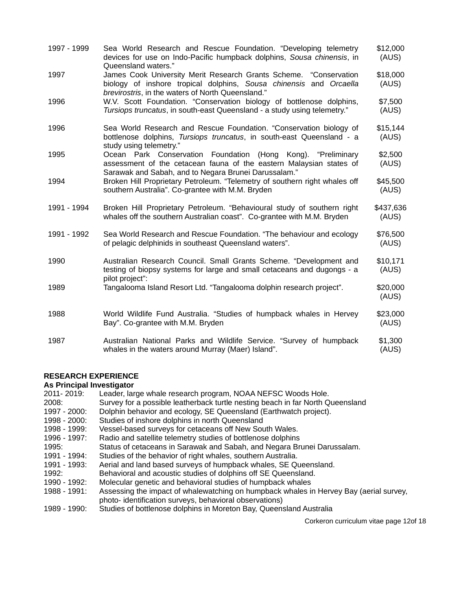| 1997 - 1999 | Sea World Research and Rescue Foundation. "Developing telemetry<br>devices for use on Indo-Pacific humpback dolphins, Sousa chinensis, in<br>Queensland waters."                             | \$12,000<br>(AUS)  |
|-------------|----------------------------------------------------------------------------------------------------------------------------------------------------------------------------------------------|--------------------|
| 1997        | James Cook University Merit Research Grants Scheme. "Conservation<br>biology of inshore tropical dolphins, Sousa chinensis and Orcaella<br>brevirostris, in the waters of North Queensland." | \$18,000<br>(AUS)  |
| 1996        | W.V. Scott Foundation. "Conservation biology of bottlenose dolphins,<br>Tursiops truncatus, in south-east Queensland - a study using telemetry."                                             | \$7,500<br>(AUS)   |
| 1996        | Sea World Research and Rescue Foundation. "Conservation biology of<br>bottlenose dolphins, Tursiops truncatus, in south-east Queensland - a<br>study using telemetry."                       | \$15,144<br>(AUS)  |
| 1995        | Ocean Park Conservation Foundation (Hong Kong). "Preliminary<br>assessment of the cetacean fauna of the eastern Malaysian states of<br>Sarawak and Sabah, and to Negara Brunei Darussalam."  | \$2,500<br>(AUS)   |
| 1994        | Broken Hill Proprietary Petroleum. "Telemetry of southern right whales off<br>southern Australia". Co-grantee with M.M. Bryden                                                               | \$45,500<br>(AUS)  |
| 1991 - 1994 | Broken Hill Proprietary Petroleum. "Behavioural study of southern right<br>whales off the southern Australian coast". Co-grantee with M.M. Bryden                                            | \$437,636<br>(AUS) |
| 1991 - 1992 | Sea World Research and Rescue Foundation. "The behaviour and ecology<br>of pelagic delphinids in southeast Queensland waters".                                                               | \$76,500<br>(AUS)  |
| 1990        | Australian Research Council. Small Grants Scheme. "Development and<br>testing of biopsy systems for large and small cetaceans and dugongs - a                                                | \$10,171<br>(AUS)  |
| 1989        | pilot project":<br>Tangalooma Island Resort Ltd. "Tangalooma dolphin research project".                                                                                                      | \$20,000<br>(AUS)  |
| 1988        | World Wildlife Fund Australia. "Studies of humpback whales in Hervey<br>Bay". Co-grantee with M.M. Bryden                                                                                    | \$23,000<br>(AUS)  |
| 1987        | Australian National Parks and Wildlife Service. "Survey of humpback<br>whales in the waters around Murray (Maer) Island".                                                                    | \$1,300<br>(AUS)   |

# **RESEARCH EXPERIENCE**

# **As Principal Investigator**

| 2011-2019:            | Leader, large whale research program, NOAA NEFSC Woods Hole.                           |
|-----------------------|----------------------------------------------------------------------------------------|
| 2008:                 | Survey for a possible leatherback turtle nesting beach in far North Queensland         |
| 1997 - 2000:          | Dolphin behavior and ecology, SE Queensland (Earthwatch project).                      |
| 1998 - 2000:          | Studies of inshore dolphins in north Queensland                                        |
| <u> 1998 - 1999: </u> | Vessel-based surveys for cetaceans off New South Wales.                                |
| 1996 - 1997.          | Radio and satellite telemetry studies of bottlenose dolphins                           |
| 1995:                 | Status of cetaceans in Sarawak and Sabah, and Negara Brunei Darussalam.                |
| <u> 1991 - 1994: </u> | Studies of the behavior of right whales, southern Australia.                           |
| 1991 - 1993:          | Aerial and land based surveys of humpback whales, SE Queensland.                       |
| 1992:                 | Behavioral and acoustic studies of dolphins off SE Queensland.                         |
| 1990 - 1992:          | Molecular genetic and behavioral studies of humpback whales                            |
| 1988 - 1991:          | Assessing the impact of whalewatching on humpback whales in Hervey Bay (aerial survey, |
|                       | photo- identification surveys, behavioral observations)                                |
| 1989 - 1990:          | Studies of bottlenose dolphins in Moreton Bay, Queensland Australia                    |
|                       |                                                                                        |

Corkeron curriculum vitae page 12of 18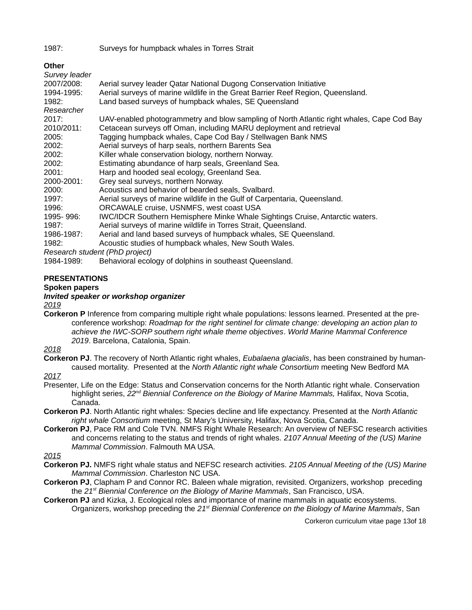1987: Surveys for humpback whales in Torres Strait

# **Other**

| Survey leader    |                                                                                           |
|------------------|-------------------------------------------------------------------------------------------|
| 2007/2008:       | Aerial survey leader Qatar National Dugong Conservation Initiative                        |
| 1994-1995:       | Aerial surveys of marine wildlife in the Great Barrier Reef Region, Queensland.           |
| 1982:            | Land based surveys of humpback whales, SE Queensland                                      |
| Researcher       |                                                                                           |
| 2017:            | UAV-enabled photogrammetry and blow sampling of North Atlantic right whales, Cape Cod Bay |
| 2010/2011:       | Cetacean surveys off Oman, including MARU deployment and retrieval                        |
| 2005:            | Tagging humpback whales, Cape Cod Bay / Stellwagen Bank NMS                               |
| 2002:            | Aerial surveys of harp seals, northern Barents Sea                                        |
| 2002:            | Killer whale conservation biology, northern Norway.                                       |
| 2002:            | Estimating abundance of harp seals, Greenland Sea.                                        |
| 2001:            | Harp and hooded seal ecology, Greenland Sea.                                              |
| 2000-2001:       | Grey seal surveys, northern Norway.                                                       |
| 2000:            | Acoustics and behavior of bearded seals, Svalbard.                                        |
| 1997:            | Aerial surveys of marine wildlife in the Gulf of Carpentaria, Queensland.                 |
| 1996:            | ORCAWALE cruise, USNMFS, west coast USA                                                   |
| 1995-996:        | IWC/IDCR Southern Hemisphere Minke Whale Sightings Cruise, Antarctic waters.              |
| 1987:            | Aerial surveys of marine wildlife in Torres Strait, Queensland.                           |
| 1986-1987:       | Aerial and land based surveys of humpback whales, SE Queensland.                          |
| 1982:            | Acoustic studies of humpback whales, New South Wales.                                     |
|                  | Research student (PhD project)                                                            |
| $10011000 \cdot$ | Behourarel asology of delphing in coutheast Queensland                                    |

1984-1989: Behavioral ecology of dolphins in southeast Queensland.

# **PRESENTATIONS**

### **Spoken papers**

# *Invited speaker or workshop organizer*

#### *2019*

**Corkeron P** Inference from comparing multiple right whale populations: lessons learned. Presented at the preconference workshop: *Roadmap for the right sentinel for climate change: developing an action plan to achieve the IWC-SORP southern right whale theme objectives*. *World Marine Mammal Conference 2019*. Barcelona, Catalonia, Spain.

#### *2018*

**Corkeron PJ**. The recovery of North Atlantic right whales, *Eubalaena glacialis*, has been constrained by humancaused mortality. Presented at the *North Atlantic right whale Consortium* meeting New Bedford MA

# *2017*

- Presenter, Life on the Edge: Status and Conservation concerns for the North Atlantic right whale. Conservation highlight series, *22nd Biennial Conference on the Biology of Marine Mammals,* Halifax, Nova Scotia, Canada.
- **Corkeron PJ**. North Atlantic right whales: Species decline and life expectancy. Presented at the *North Atlantic right whale Consortium* meeting, St Mary's University, Halifax, Nova Scotia, Canada.
- **Corkeron PJ**, Pace RM and Cole TVN. NMFS Right Whale Research: An overview of NEFSC research activities and concerns relating to the status and trends of right whales. *2107 Annual Meeting of the (US) Marine Mammal Commission*. Falmouth MA USA.

#### *2015*

- **Corkeron PJ.** NMFS right whale status and NEFSC research activities. *2105 Annual Meeting of the (US) Marine Mammal Commission*. Charleston NC USA.
- **Corkeron PJ**, Clapham P and Connor RC. Baleen whale migration, revisited. Organizers, workshop preceding the *21st Biennial Conference on the Biology of Marine Mammals*, San Francisco, USA.
- **Corkeron PJ** and Kizka, J. Ecological roles and importance of marine mammals in aquatic ecosystems. Organizers, workshop preceding the *21st Biennial Conference on the Biology of Marine Mammals*, San

Corkeron curriculum vitae page 13of 18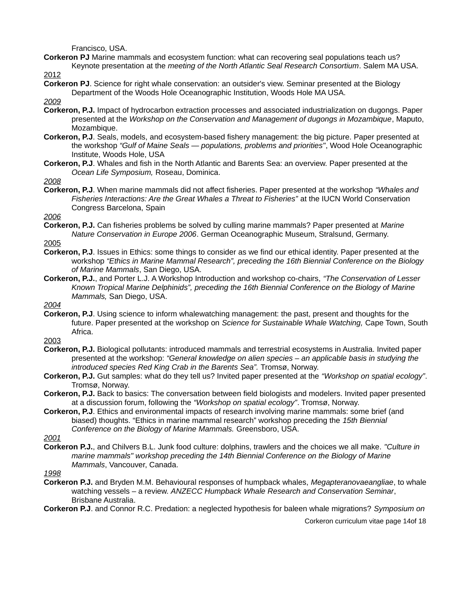Francisco, USA.

**Corkeron PJ** Marine mammals and ecosystem function: what can recovering seal populations teach us? Keynote presentation at the *meeting of the North Atlantic Seal Research Consortium*. Salem MA USA.

2012

**Corkeron PJ**. Science for right whale conservation: an outsider's view. Seminar presented at the Biology Department of the Woods Hole Oceanographic Institution, Woods Hole MA USA.

*2009*

- **Corkeron, P.J.** Impact of hydrocarbon extraction processes and associated industrialization on dugongs. Paper presented at the *Workshop on the Conservation and Management of dugongs in Mozambique*, Maputo, Mozambique.
- **Corkeron, P.J**. Seals, models, and ecosystem-based fishery management: the big picture. Paper presented at the workshop *"Gulf of Maine Seals — populations, problems and priorities"*, Wood Hole Oceanographic Institute, Woods Hole, USA
- **Corkeron, P.J**. Whales and fish in the North Atlantic and Barents Sea: an overview. Paper presented at the *Ocean Life Symposium,* Roseau, Dominica.

*2008*

**Corkeron, P.J**. When marine mammals did not affect fisheries. Paper presented at the workshop *"Whales and Fisheries Interactions: Are the Great Whales a Threat to Fisheries"* at the IUCN World Conservation Congress Barcelona, Spain

*2006*

**Corkeron, P.J.** Can fisheries problems be solved by culling marine mammals? Paper presented at *Marine Nature Conservation in Europe 2006*. German Oceanographic Museum, Stralsund, Germany.

2005

- **Corkeron, P.J**. Issues in Ethics: some things to consider as we find our ethical identity. Paper presented at the workshop *"Ethics in Marine Mammal Research", preceding the 16th Biennial Conference on the Biology of Marine Mammals*, San Diego, USA.
- **Corkeron, P.J.**, and Porter L.J. A Workshop Introduction and workshop co-chairs, *"The Conservation of Lesser Known Tropical Marine Delphinids", preceding the 16th Biennial Conference on the Biology of Marine Mammals,* San Diego, USA.

*2004*

**Corkeron, P.J**. Using science to inform whalewatching management: the past, present and thoughts for the future. Paper presented at the workshop on *Science for Sustainable Whale Watching,* Cape Town, South Africa.

2003

- **Corkeron, P.J.** Biological pollutants: introduced mammals and terrestrial ecosystems in Australia. Invited paper presented at the workshop: *"General knowledge on alien species – an applicable basis in studying the introduced species Red King Crab in the Barents Sea".* Tromsø, Norway.
- **Corkeron, P.J.** Gut samples: what do they tell us? Invited paper presented at the *"Workshop on spatial ecology"*. Tromsø, Norway.
- **Corkeron, P.J.** Back to basics: The conversation between field biologists and modelers. Invited paper presented at a discussion forum, following the *"Workshop on spatial ecology"*. Tromsø, Norway.
- **Corkeron, P.J**. Ethics and environmental impacts of research involving marine mammals: some brief (and biased) thoughts. "Ethics in marine mammal research" workshop preceding the *15th Biennial Conference on the Biology of Marine Mammals.* Greensboro, USA.

*2001*

**Corkeron P.J.**, and Chilvers B.L. Junk food culture: dolphins, trawlers and the choices we all make. *"Culture in marine mammals" workshop preceding the 14th Biennial Conference on the Biology of Marine Mammals*, Vancouver, Canada.

*1998*

- **Corkeron P.J.** and Bryden M.M. Behavioural responses of humpback whales, *Megapteranovaeangliae*, to whale watching vessels – a review. *ANZECC Humpback Whale Research and Conservation Seminar*, Brisbane Australia.
- **Corkeron P.J**. and Connor R.C. Predation: a neglected hypothesis for baleen whale migrations? *Symposium on*

Corkeron curriculum vitae page 14of 18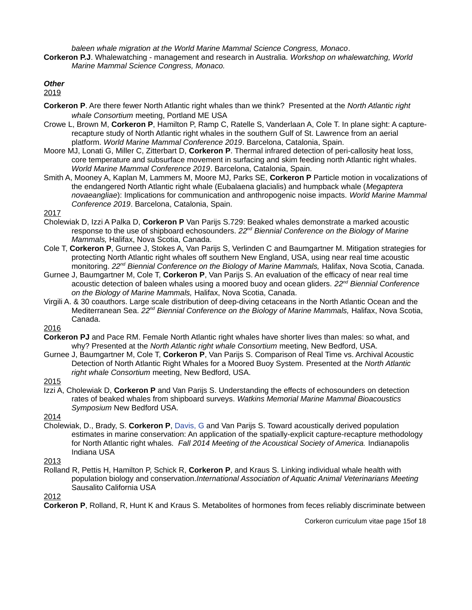*baleen whale migration at the World Marine Mammal Science Congress, Monaco*.

**Corkeron P.J**. Whalewatching - management and research in Australia. *Workshop on whalewatching, World Marine Mammal Science Congress, Monaco.*

*Other*

2019

- **Corkeron P**. Are there fewer North Atlantic right whales than we think? Presented at the *North Atlantic right whale Consortium* meeting, Portland ME USA
- Crowe L, Brown M, **Corkeron P**, Hamilton P, Ramp C, Ratelle S, Vanderlaan A, Cole T. In plane sight: A capturerecapture study of North Atlantic right whales in the southern Gulf of St. Lawrence from an aerial platform. *World Marine Mammal Conference 2019*. Barcelona, Catalonia, Spain.
- Moore MJ, Lonati G, Miller C, Zitterbart D, **Corkeron P**. Thermal infrared detection of peri-callosity heat loss, core temperature and subsurface movement in surfacing and skim feeding north Atlantic right whales. *World Marine Mammal Conference 2019*. Barcelona, Catalonia, Spain.
- Smith A, Mooney A, Kaplan M, Lammers M, Moore MJ, Parks SE, **Corkeron P** Particle motion in vocalizations of the endangered North Atlantic right whale (Eubalaena glacialis) and humpback whale (*Megaptera novaeangliae*): Implications for communication and anthropogenic noise impacts. *World Marine Mammal Conference 2019*. Barcelona, Catalonia, Spain.

2017

- Cholewiak D, Izzi A Palka D, **Corkeron P** Van Parijs S.729: Beaked whales demonstrate a marked acoustic response to the use of shipboard echosounders. *22nd Biennial Conference on the Biology of Marine Mammals,* Halifax, Nova Scotia, Canada.
- Cole T, **Corkeron P**, Gurnee J, Stokes A, Van Parijs S, Verlinden C and Baumgartner M. Mitigation strategies for protecting North Atlantic right whales off southern New England, USA, using near real time acoustic monitoring. *22nd Biennial Conference on the Biology of Marine Mammals,* Halifax, Nova Scotia, Canada.
- Gurnee J, Baumgartner M, Cole T, **Corkeron P**, Van Parijs S. An evaluation of the efficacy of near real time acoustic detection of baleen whales using a moored buoy and ocean gliders. *22nd Biennial Conference on the Biology of Marine Mammals,* Halifax, Nova Scotia, Canada.
- Virgili A. & 30 coauthors. Large scale distribution of deep-diving cetaceans in the North Atlantic Ocean and the Mediterranean Sea. *22nd Biennial Conference on the Biology of Marine Mammals,* Halifax, Nova Scotia, Canada.

2016

- **Corkeron PJ** and Pace RM. Female North Atlantic right whales have shorter lives than males: so what, and why? Presented at the *North Atlantic right whale Consortium* meeting, New Bedford, USA.
- Gurnee J, Baumgartner M, Cole T, **Corkeron P**, Van Parijs S. Comparison of Real Time vs. Archival Acoustic Detection of North Atlantic Right Whales for a Moored Buoy System. Presented at the *North Atlantic right whale Consortium* meeting, New Bedford, USA.

2015

Izzi A, Cholewiak D, **Corkeron P** and Van Parijs S. Understanding the effects of echosounders on detection rates of beaked whales from shipboard surveys. *Watkins Memorial Marine Mammal Bioacoustics Symposium* New Bedford USA.

2014

- Cholewiak, D., Brady, S. **Corkeron P**, Davis, G and Van Parijs S. Toward acoustically derived population estimates in marine conservation: An application of the spatially-explicit capture-recapture methodology for North Atlantic right whales. *Fall 2014 Meeting of the Acoustical Society of America.* Indianapolis Indiana USA
- 2013
- Rolland R, Pettis H, Hamilton P, Schick R, **Corkeron P**, and Kraus S. Linking individual whale health with population biology and conservation.*International Association of Aquatic Animal Veterinarians Meeting* Sausalito California USA

2012

**Corkeron P**, Rolland, R, Hunt K and Kraus S. Metabolites of hormones from feces reliably discriminate between

Corkeron curriculum vitae page 15of 18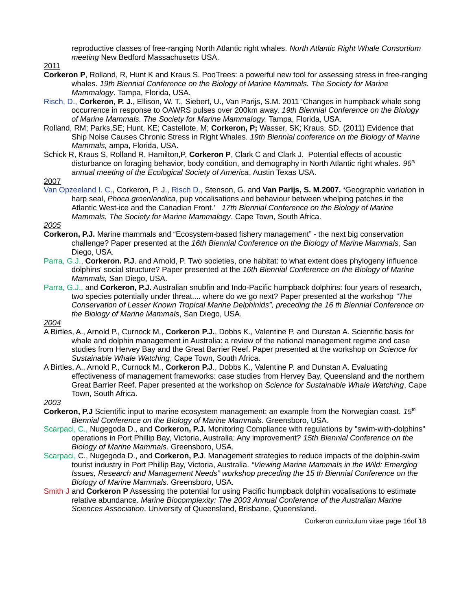reproductive classes of free-ranging North Atlantic right whales. *North Atlantic Right Whale Consortium meeting* New Bedford Massachusetts USA.

2011

- **Corkeron P**, Rolland, R, Hunt K and Kraus S. PooTrees: a powerful new tool for assessing stress in free-ranging whales. *19th Biennial Conference on the Biology of Marine Mammals. The Society for Marine Mammalogy*. Tampa, Florida, USA.
- Risch, D., **Corkeron, P. J.**, Ellison, W. T., Siebert, U., Van Parijs, S.M. 2011 'Changes in humpback whale song occurrence in response to OAWRS pulses over 200km away. *19th Biennial Conference on the Biology of Marine Mammals. The Society for Marine Mammalogy.* Tampa, Florida, USA.
- Rolland, RM; Parks,SE; Hunt, KE; Castellote, M; **Corkeron, P;** Wasser, SK; Kraus, SD. (2011) Evidence that Ship Noise Causes Chronic Stress in Right Whales. *19th Biennial conference on the Biology of Marine Mammals,* ampa, Florida, USA.
- Schick R, Kraus S, Rolland R, Hamilton,P, **Corkeron P**, Clark C and Clark J. Potential effects of acoustic disturbance on foraging behavior, body condition, and demography in North Atlantic right whales. *96th annual meeting of the Ecological Society of America*, Austin Texas USA.
- 2007
- Van Opzeeland I. C., Corkeron, P. J., Risch D., Stenson, G. and **Van Parijs, S. M.2007. '**Geographic variation in harp seal, *Phoca groenlandica*, pup vocalisations and behaviour between whelping patches in the Atlantic West-ice and the Canadian Front.' *17th Biennial Conference on the Biology of Marine Mammals. The Society for Marine Mammalogy*. Cape Town, South Africa.

*2005*

- **Corkeron, P.J.** Marine mammals and "Ecosystem-based fishery management" the next big conservation challenge? Paper presented at the *16th Biennial Conference on the Biology of Marine Mammals*, San Diego, USA.
- Parra, G.J., **Corkeron. P.J**. and Arnold, P. Two societies, one habitat: to what extent does phylogeny influence dolphins' social structure? Paper presented at the *16th Biennial Conference on the Biology of Marine Mammals,* San Diego, USA.
- Parra, G.J., and **Corkeron, P.J.** Australian snubfin and Indo-Pacific humpback dolphins: four years of research, two species potentially under threat.... where do we go next? Paper presented at the workshop *"The Conservation of Lesser Known Tropical Marine Delphinids", preceding the 16 th Biennial Conference on the Biology of Marine Mammals*, San Diego, USA.

*2004*

- A Birtles, A., Arnold P., Curnock M., **Corkeron P.J.**, Dobbs K., Valentine P. and Dunstan A. Scientific basis for whale and dolphin management in Australia: a review of the national management regime and case studies from Hervey Bay and the Great Barrier Reef. Paper presented at the workshop on *Science for Sustainable Whale Watching*, Cape Town, South Africa.
- A Birtles, A., Arnold P., Curnock M., **Corkeron P.J**., Dobbs K., Valentine P. and Dunstan A. Evaluating effectiveness of management frameworks: case studies from Hervey Bay, Queensland and the northern Great Barrier Reef. Paper presented at the workshop on *Science for Sustainable Whale Watching*, Cape Town, South Africa.

*2003*

- **Corkeron, P.J** Scientific input to marine ecosystem management: an example from the Norwegian coast. *15th Biennial Conference on the Biology of Marine Mammals*. Greensboro, USA.
- Scarpaci, C., Nugegoda D., and **Corkeron, P.J.** Monitoring Compliance with regulations by "swim-with-dolphins" operations in Port Phillip Bay, Victoria, Australia: Any improvement? *15th Biennial Conference on the Biology of Marine Mammals.* Greensboro, USA.
- Scarpaci, C., Nugegoda D., and **Corkeron, P.J**. Management strategies to reduce impacts of the dolphin-swim tourist industry in Port Phillip Bay, Victoria, Australia. *"Viewing Marine Mammals in the Wild: Emerging Issues, Research and Management Needs" workshop preceding the 15 th Biennial Conference on the Biology of Marine Mammals.* Greensboro, USA.
- Smith J and **Corkeron P** Assessing the potential for using Pacific humpback dolphin vocalisations to estimate relative abundance. *Marine Biocomplexity: The 2003 Annual Conference of the Australian Marine Sciences Association*, University of Queensland, Brisbane, Queensland.

Corkeron curriculum vitae page 16of 18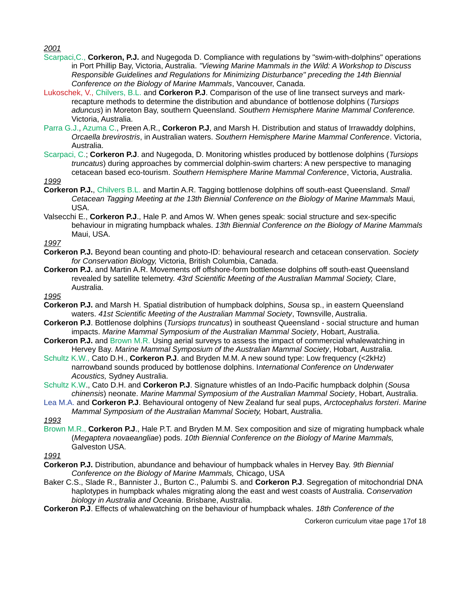*2001*

- Scarpaci,C., **Corkeron, P.J.** and Nugegoda D. Compliance with regulations by "swim-with-dolphins" operations in Port Phillip Bay, Victoria, Australia. *"Viewing Marine Mammals in the Wild: A Workshop to Discuss Responsible Guidelines and Regulations for Minimizing Disturbance" preceding the 14th Biennial Conference on the Biology of Marine Mammals*, Vancouver, Canada.
- Lukoschek, V., Chilvers, B.L. and **Corkeron P.J**. Comparison of the use of line transect surveys and markrecapture methods to determine the distribution and abundance of bottlenose dolphins (*Tursiops aduncus*) in Moreton Bay, southern Queensland. *Southern Hemisphere Marine Mammal Conference.* Victoria, Australia.
- Parra G.J., Azuma C., Preen A.R., **Corkeron P.J**, and Marsh H. Distribution and status of Irrawaddy dolphins, *Orcaella brevirostris*, in Australian waters. *Southern Hemisphere Marine Mammal Conference*. Victoria, Australia.
- Scarpaci, C.; **Corkeron P.J**. and Nugegoda, D. Monitoring whistles produced by bottlenose dolphins (*Tursiops truncatus*) during approaches by commercial dolphin-swim charters: A new perspective to managing cetacean based eco-tourism. *Southern Hemisphere Marine Mammal Conference*, Victoria, Australia.

*1999*

- **Corkeron P.J.**, Chilvers B.L. and Martin A.R. Tagging bottlenose dolphins off south-east Queensland. *Small Cetacean Tagging Meeting at the 13th Biennial Conference on the Biology of Marine Mammals* Maui, USA.
- Valsecchi E., **Corkeron P.J**., Hale P. and Amos W. When genes speak: social structure and sex-specific behaviour in migrating humpback whales. *13th Biennial Conference on the Biology of Marine Mammals* Maui, USA.

*1997*

- **Corkeron P.J.** Beyond bean counting and photo-ID: behavioural research and cetacean conservation. *Society for Conservation Biology,* Victoria, British Columbia, Canada.
- **Corkeron P.J.** and Martin A.R. Movements off offshore-form bottlenose dolphins off south-east Queensland revealed by satellite telemetry. *43rd Scientific Meeting of the Australian Mammal Society,* Clare, Australia.

*1995*

- **Corkeron P.J.** and Marsh H. Spatial distribution of humpback dolphins, *Sousa* sp., in eastern Queensland waters. *41st Scientific Meeting of the Australian Mammal Society*, Townsville, Australia.
- **Corkeron P.J**. Bottlenose dolphins (*Tursiops truncatus*) in southeast Queensland social structure and human impacts. *Marine Mammal Symposium of the Australian Mammal Society*, Hobart, Australia.
- **Corkeron P.J.** and Brown M.R. Using aerial surveys to assess the impact of commercial whalewatching in Hervey Bay. *Marine Mammal Symposium of the Australian Mammal Society*, Hobart, Australia.
- Schultz K.W., Cato D.H., **Corkeron P.J**. and Bryden M.M. A new sound type: Low frequency (<2kHz) narrowband sounds produced by bottlenose dolphins. I*nternational Conference on Underwater Acoustics,* Sydney Australia.
- Schultz K.W., Cato D.H. and **Corkeron P.J**. Signature whistles of an Indo-Pacific humpback dolphin (*Sousa chinensis*) neonate. *Marine Mammal Symposium of the Australian Mammal Society*, Hobart, Australia.
- Lea M.A. and **Corkeron P.J**. Behavioural ontogeny of New Zealand fur seal pups, *Arctocephalus forsteri*. *Marine Mammal Symposium of the Australian Mammal Society,* Hobart, Australia.

*1993*

Brown M.R., **Corkeron P.J**., Hale P.T. and Bryden M.M. Sex composition and size of migrating humpback whale (*Megaptera novaeangliae*) pods. *10th Biennial Conference on the Biology of Marine Mammals,* Galveston USA.

*1991*

- **Corkeron P.J.** Distribution, abundance and behaviour of humpback whales in Hervey Bay. *9th Biennial Conference on the Biology of Marine Mammals,* Chicago, USA
- Baker C.S., Slade R., Bannister J., Burton C., Palumbi S. and **Corkeron P.J**. Segregation of mitochondrial DNA haplotypes in humpback whales migrating along the east and west coasts of Australia. C*onservation biology in Australia and Oceania*. Brisbane, Australia.

**Corkeron P.J**. Effects of whalewatching on the behaviour of humpback whales. *18th Conference of the* 

Corkeron curriculum vitae page 17of 18